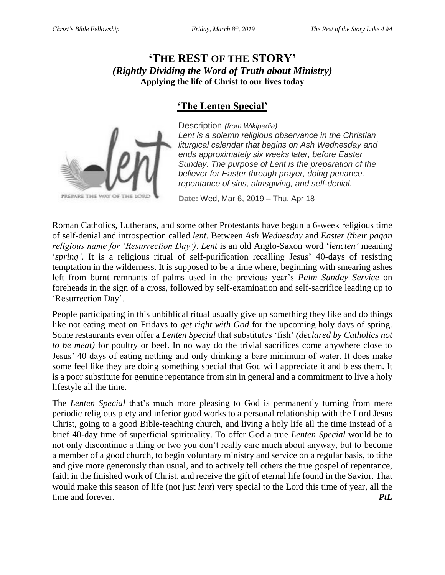# **'THE REST OF THE STORY'** *(Rightly Dividing the Word of Truth about Ministry)* **Applying the life of Christ to our lives today**

# **'The Lenten Special'**



Description *(from Wikipedia) Lent is a solemn religious observance in the Christian liturgical calendar that begins on Ash Wednesday and ends approximately six weeks later, before Easter Sunday. The purpose of Lent is the preparation of the believer for Easter through prayer, doing penance, repentance of sins, almsgiving, and self-denial.* 

**[Date:](https://www.google.com/search?q=lent+date&stick=H4sIAAAAAAAAAOPgE-LQz9U3sKwwMdeSyE620k8tS80rKdbPyM_JTEmstEpJLEktXsTKmQMUVQBxAI8bp5kyAAAA&sa=X&ved=2ahUKEwiqjJ7KtPHgAhVnh1QKHc9gBI8Q6BMoADAoegQIBxAG)** Wed, Mar 6, 2019 – Thu, Apr 18

Roman Catholics, Lutherans, and some other Protestants have begun a 6-week religious time of self-denial and introspection called *lent*. Between *Ash Wednesday* and *Easter (their pagan religious name for 'Resurrection Day')*. *Lent* is an old Anglo-Saxon word '*lencten'* meaning '*spring'*. It is a religious ritual of self-purification recalling Jesus' 40-days of resisting temptation in the wilderness. It is supposed to be a time where, beginning with smearing ashes left from burnt remnants of palms used in the previous year's *Palm Sunday Service* on foreheads in the sign of a cross, followed by self-examination and self-sacrifice leading up to 'Resurrection Day'.

People participating in this unbiblical ritual usually give up something they like and do things like not eating meat on Fridays to *get right with God* for the upcoming holy days of spring. Some restaurants even offer a *Lenten Special* that substitutes 'fish' *(declared by Catholics not to be meat)* for poultry or beef. In no way do the trivial sacrifices come anywhere close to Jesus' 40 days of eating nothing and only drinking a bare minimum of water. It does make some feel like they are doing something special that God will appreciate it and bless them. It is a poor substitute for genuine repentance from sin in general and a commitment to live a holy lifestyle all the time.

The *Lenten Special* that's much more pleasing to God is permanently turning from mere periodic religious piety and inferior good works to a personal relationship with the Lord Jesus Christ, going to a good Bible-teaching church, and living a holy life all the time instead of a brief 40-day time of superficial spirituality. To offer God a true *Lenten Special* would be to not only discontinue a thing or two you don't really care much about anyway, but to become a member of a good church, to begin voluntary ministry and service on a regular basis, to tithe and give more generously than usual, and to actively tell others the true gospel of repentance, faith in the finished work of Christ, and receive the gift of eternal life found in the Savior. That would make this season of life (not just *lent*) very special to the Lord this time of year, all the time and forever. *PtL*